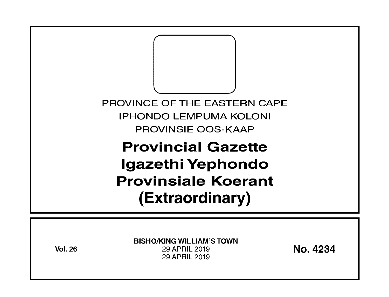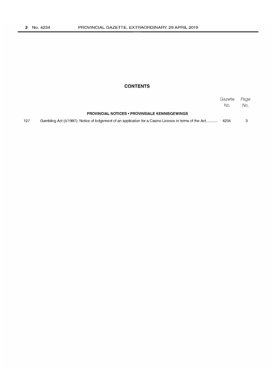## **CONTENTS**

|     |                                                                                                       | Gazette<br>No. | Page<br>No. |
|-----|-------------------------------------------------------------------------------------------------------|----------------|-------------|
|     | <b>PROVINCIAL NOTICES • PROVINSIALE KENNISGEWINGS</b>                                                 |                |             |
| 127 | Gambling Act (5/1997): Notice of lodgement of an application for a Casino Licence in terms of the Act | 4234           |             |